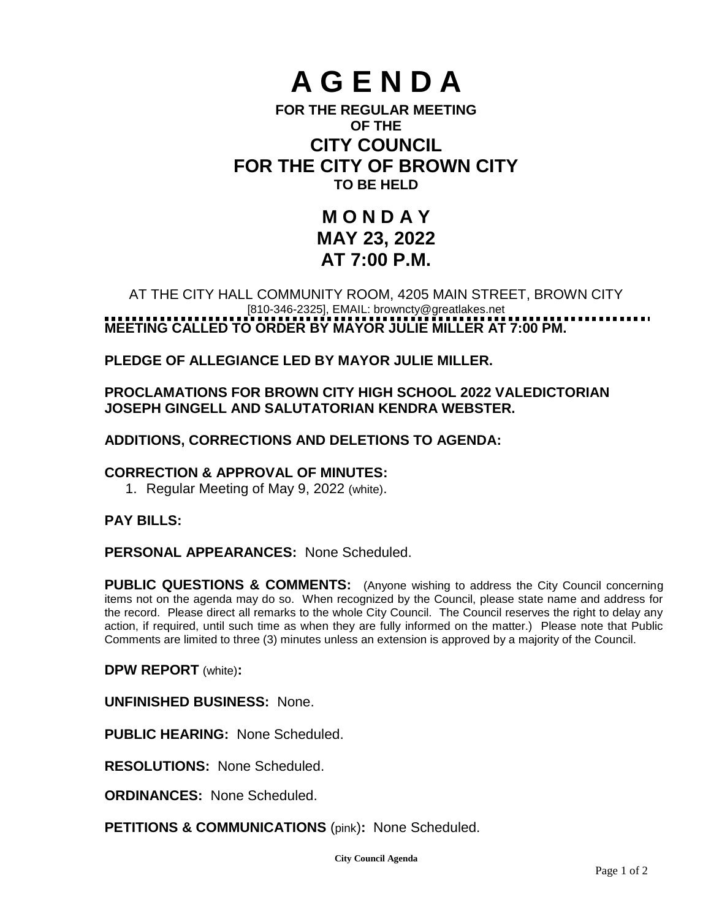# **A G E N D A**

### **FOR THE REGULAR MEETING OF THE CITY COUNCIL FOR THE CITY OF BROWN CITY TO BE HELD**

## **M O N D A Y MAY 23, 2022 AT 7:00 P.M.**

#### AT THE CITY HALL COMMUNITY ROOM, 4205 MAIN STREET, BROWN CITY [810-346-2325], EMAIL: [browncty@greatlakes.net](mailto:browncty@greatlakes.net) **MEETING CALLED TO ORDER BY MAYOR JULIE MILLER AT 7:00 PM.**

**PLEDGE OF ALLEGIANCE LED BY MAYOR JULIE MILLER.**

#### **PROCLAMATIONS FOR BROWN CITY HIGH SCHOOL 2022 VALEDICTORIAN JOSEPH GINGELL AND SALUTATORIAN KENDRA WEBSTER.**

#### **ADDITIONS, CORRECTIONS AND DELETIONS TO AGENDA:**

#### **CORRECTION & APPROVAL OF MINUTES:**

1. Regular Meeting of May 9, 2022 (white).

#### **PAY BILLS:**

#### **PERSONAL APPEARANCES:** None Scheduled.

**PUBLIC QUESTIONS & COMMENTS:** (Anyone wishing to address the City Council concerning items not on the agenda may do so. When recognized by the Council, please state name and address for the record. Please direct all remarks to the whole City Council. The Council reserves the right to delay any action, if required, until such time as when they are fully informed on the matter.) Please note that Public Comments are limited to three (3) minutes unless an extension is approved by a majority of the Council.

**DPW REPORT** (white)**:**

**UNFINISHED BUSINESS:** None.

**PUBLIC HEARING:** None Scheduled.

**RESOLUTIONS:** None Scheduled.

**ORDINANCES:** None Scheduled.

**PETITIONS & COMMUNICATIONS** (pink)**:** None Scheduled.